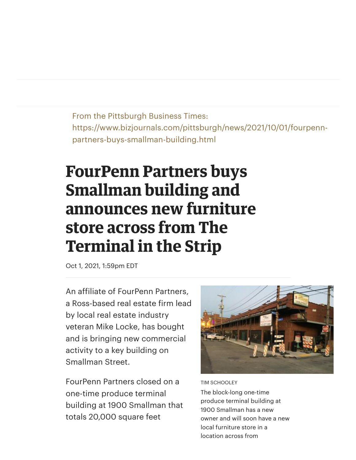From the Pittsburgh Business Times: https://www.bizjournals.com/pittsburgh/news/2021/10/01/fourpennpartners-buys-smallman-building.html

## **FourPenn Partners buys Smallman building and announces new furniture store across from The Terminal in the Strip**

Oct 1, 2021, 1:59pm EDT

An affiliate of FourPenn Partners, a Ross-based real estate firm lead by local real estate industry veteran Mike Locke, has bought and is bringing new commercial activity to a key building on Smallman Street.

FourPenn Partners closed on a one-time produce terminal building at 1900 Smallman that totals 20,000 square feet



## TIM SCHOOLEY

The block-long one-time produce terminal building at 1900 Smallman has a new owner and will soon have a new local furniture store in a location across from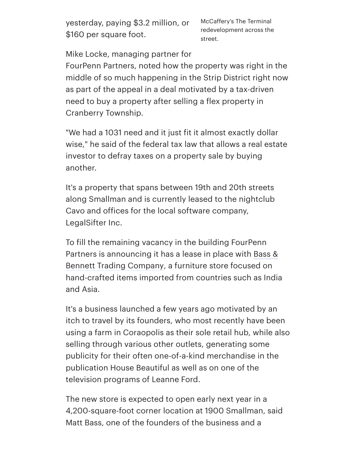yesterday, paying \$3.2 million, or \$160 per square foot.

McCaffery's The Terminal redevelopment across the street.

Mike Locke, managing partner for

FourPenn Partners, noted how the property was right in the middle of so much happening in the Strip District right now as part of the appeal in a deal motivated by a tax-driven need to buy a property after selling a flex property in Cranberry Township.

"We had a 1031 need and it just fit it almost exactly dollar wise," he said of the federal tax law that allows a real estate investor to defray taxes on a property sale by buying another.

It's a property that spans between 19th and 20th streets along Smallman and is currently leased to the nightclub Cavo and offices for the local software company, LegalSifter Inc.

To fill the remaining vacancy in the building FourPenn Partners is [announcing](https://bassbennett.com/) it has a lease in place with Bass & Bennett Trading Company, a furniture store focused on hand-crafted items imported from countries such as India and Asia.

It's a business launched a few years ago motivated by an itch to travel by its founders, who most recently have been using a farm in Coraopolis as their sole retail hub, while also selling through various other outlets, generating some publicity for their often one-of-a-kind merchandise in the publication House Beautiful as well as on one of the television programs of Leanne Ford.

The new store is expected to open early next year in a 4,200-square-foot corner location at 1900 Smallman, said Matt Bass, one of the founders of the business and a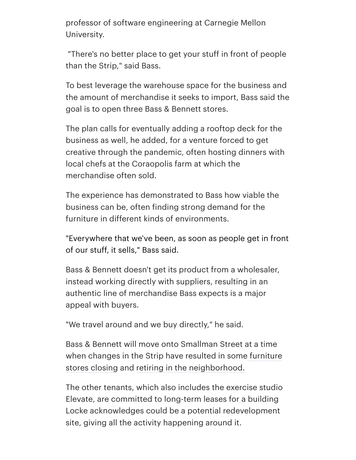professor of software engineering at Carnegie Mellon University.

"There's no better place to get your stuff in front of people than the Strip," said Bass.

To best leverage the warehouse space for the business and the amount of merchandise it seeks to import, Bass said the goal is to open three Bass & Bennett stores.

The plan calls for eventually adding a rooftop deck for the business as well, he added, for a venture forced to get creative through the pandemic, often hosting dinners with local chefs at the Coraopolis farm at which the merchandise often sold.

The experience has demonstrated to Bass how viable the business can be, often finding strong demand for the furniture in different kinds of environments.

"Everywhere that we've been, as soon as people get in front of our stuff, it sells," Bass said.

Bass & Bennett doesn't get its product from a wholesaler, instead working directly with suppliers, resulting in an authentic line of merchandise Bass expects is a major appeal with buyers.

"We travel around and we buy directly," he said.

Bass & Bennett will move onto Smallman Street at a time when changes in the Strip have resulted in some furniture stores closing and retiring in the [neighborhood.](https://www.bizjournals.com/pittsburgh/news/2016/12/22/artistry-to-close.html)

The other tenants, which also includes the exercise studio Elevate, are committed to long-term leases for a building Locke acknowledges could be a potential redevelopment site, giving all the activity happening around it.